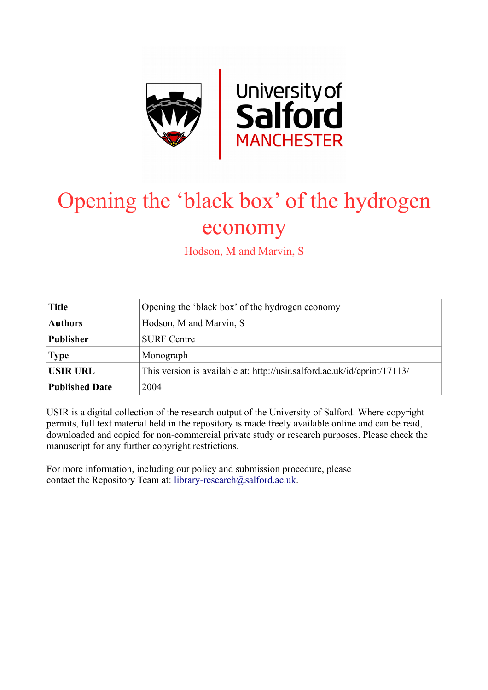

# Opening the 'black box' of the hydrogen economy

Hodson, M and Marvin, S

| <b>Title</b>          | Opening the 'black box' of the hydrogen economy                          |  |  |  |
|-----------------------|--------------------------------------------------------------------------|--|--|--|
| <b>Authors</b>        | Hodson, M and Marvin, S                                                  |  |  |  |
| <b>Publisher</b>      | <b>SURF</b> Centre                                                       |  |  |  |
| <b>Type</b>           | Monograph                                                                |  |  |  |
| <b>USIR URL</b>       | This version is available at: http://usir.salford.ac.uk/id/eprint/17113/ |  |  |  |
| <b>Published Date</b> | 2004                                                                     |  |  |  |

USIR is a digital collection of the research output of the University of Salford. Where copyright permits, full text material held in the repository is made freely available online and can be read, downloaded and copied for non-commercial private study or research purposes. Please check the manuscript for any further copyright restrictions.

For more information, including our policy and submission procedure, please contact the Repository Team at: [library-research@salford.ac.uk.](mailto:library-research@salford.ac.uk)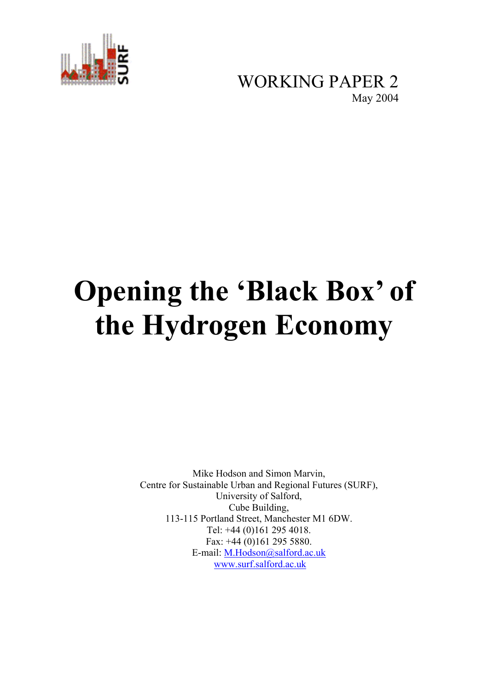

WORKING PAPER 2<br>May 2004

# **Opening the 'Black Box' of the Hydrogen Economy**

Mike Hodson and Simon Marvin, Centre for Sustainable Urban and Regional Futures (SURF), University of Salford, Cube Building, 113-115 Portland Street, Manchester M1 6DW. Tel: +44 (0)161 295 4018. Fax: +44 (0)161 295 5880. E-mail: M.Hodson@salford.ac.uk www.surf.salford.ac.uk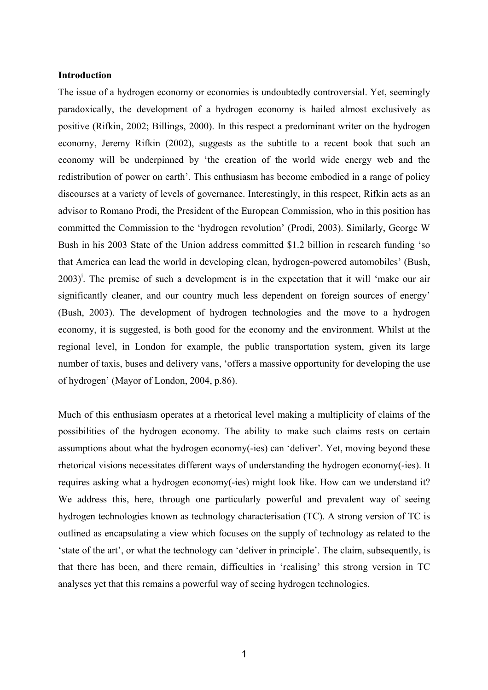#### **Introduction**

The issue of a hydrogen economy or economies is undoubtedly controversial. Yet, seemingly paradoxically, the development of a hydrogen economy is hailed almost exclusively as positive (Rifkin, 2002; Billings, 2000). In this respect a predominant writer on the hydrogen economy, Jeremy Rifkin (2002), suggests as the subtitle to a recent book that such an economy will be underpinned by 'the creation of the world wide energy web and the redistribution of power on earth'. This enthusiasm has become embodied in a range of policy discourses at a variety of levels of governance. Interestingly, in this respect, Rifkin acts as an advisor to Romano Prodi, the President of the European Commission, who in this position has committed the Commission to the 'hydrogen revolution' (Prodi, 2003). Similarly, George W Bush in his 2003 State of the Union address committed \$1.2 billion in research funding 'so that America can lead the world in developing clean, hydrogen-powered automobiles' (Bush,  $2003)$ <sup>i</sup>. The premise of such a development is in the expectation that it will 'make our air significantly cleaner, and our country much less dependent on foreign sources of energy' (Bush, 2003). The development of hydrogen technologies and the move to a hydrogen economy, it is suggested, is both good for the economy and the environment. Whilst at the regional level, in London for example, the public transportation system, given its large number of taxis, buses and delivery vans, 'offers a massive opportunity for developing the use of hydrogen' (Mayor of London, 2004, p.86).

Much of this enthusiasm operates at a rhetorical level making a multiplicity of claims of the possibilities of the hydrogen economy. The ability to make such claims rests on certain assumptions about what the hydrogen economy(-ies) can 'deliver'. Yet, moving beyond these rhetorical visions necessitates different ways of understanding the hydrogen economy(-ies). It requires asking what a hydrogen economy(-ies) might look like. How can we understand it? We address this, here, through one particularly powerful and prevalent way of seeing hydrogen technologies known as technology characterisation (TC). A strong version of TC is outlined as encapsulating a view which focuses on the supply of technology as related to the 'state of the art', or what the technology can 'deliver in principle'. The claim, subsequently, is that there has been, and there remain, difficulties in 'realising' this strong version in TC analyses yet that this remains a powerful way of seeing hydrogen technologies.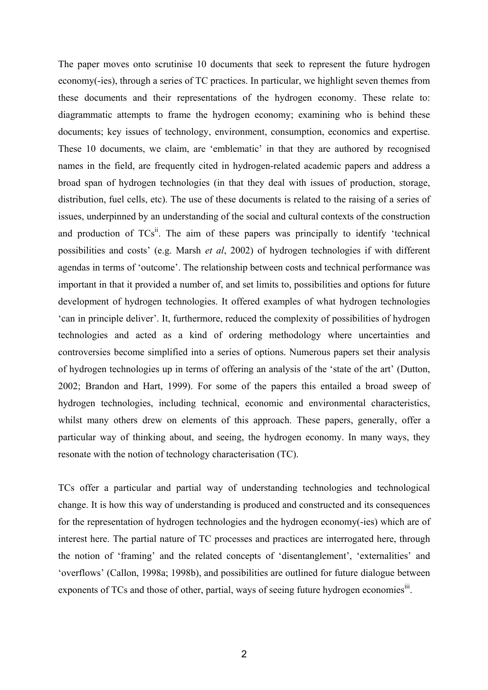The paper moves onto scrutinise 10 documents that seek to represent the future hydrogen economy(-ies), through a series of TC practices. In particular, we highlight seven themes from these documents and their representations of the hydrogen economy. These relate to: diagrammatic attempts to frame the hydrogen economy; examining who is behind these documents; key issues of technology, environment, consumption, economics and expertise. These 10 documents, we claim, are 'emblematic' in that they are authored by recognised names in the field, are frequently cited in hydrogen-related academic papers and address a broad span of hydrogen technologies (in that they deal with issues of production, storage, distribution, fuel cells, etc). The use of these documents is related to the raising of a series of issues, underpinned by an understanding of the social and cultural contexts of the construction and production of  $TCs$ <sup>ii</sup>. The aim of these papers was principally to identify 'technical possibilities and costs' (e.g. Marsh *et al*, 2002) of hydrogen technologies if with different agendas in terms of 'outcome'. The relationship between costs and technical performance was important in that it provided a number of, and set limits to, possibilities and options for future development of hydrogen technologies. It offered examples of what hydrogen technologies 'can in principle deliver'. It, furthermore, reduced the complexity of possibilities of hydrogen technologies and acted as a kind of ordering methodology where uncertainties and controversies become simplified into a series of options. Numerous papers set their analysis of hydrogen technologies up in terms of offering an analysis of the 'state of the art' (Dutton, 2002; Brandon and Hart, 1999). For some of the papers this entailed a broad sweep of hydrogen technologies, including technical, economic and environmental characteristics, whilst many others drew on elements of this approach. These papers, generally, offer a particular way of thinking about, and seeing, the hydrogen economy. In many ways, they resonate with the notion of technology characterisation (TC).

TCs offer a particular and partial way of understanding technologies and technological change. It is how this way of understanding is produced and constructed and its consequences for the representation of hydrogen technologies and the hydrogen economy(-ies) which are of interest here. The partial nature of TC processes and practices are interrogated here, through the notion of 'framing' and the related concepts of 'disentanglement', 'externalities' and 'overflows' (Callon, 1998a; 1998b), and possibilities are outlined for future dialogue between exponents of TCs and those of other, partial, ways of seeing future hydrogen economies<sup>111</sup>.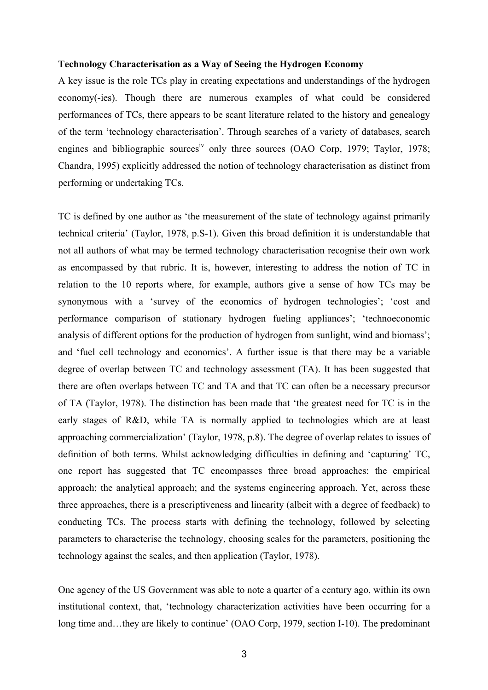#### **Technology Characterisation as a Way of Seeing the Hydrogen Economy**

A key issue is the role TCs play in creating expectations and understandings of the hydrogen economy(-ies). Though there are numerous examples of what could be considered performances of TCs, there appears to be scant literature related to the history and genealogy of the term 'technology characterisation'. Through searches of a variety of databases, search engines and bibliographic sources<sup>iv</sup> only three sources (OAO Corp, 1979; Taylor, 1978; Chandra, 1995) explicitly addressed the notion of technology characterisation as distinct from performing or undertaking TCs.

TC is defined by one author as 'the measurement of the state of technology against primarily technical criteria' (Taylor, 1978, p.S-1). Given this broad definition it is understandable that not all authors of what may be termed technology characterisation recognise their own work as encompassed by that rubric. It is, however, interesting to address the notion of TC in relation to the 10 reports where, for example, authors give a sense of how TCs may be synonymous with a 'survey of the economics of hydrogen technologies'; 'cost and performance comparison of stationary hydrogen fueling appliances'; 'technoeconomic analysis of different options for the production of hydrogen from sunlight, wind and biomass'; and 'fuel cell technology and economics'. A further issue is that there may be a variable degree of overlap between TC and technology assessment (TA). It has been suggested that there are often overlaps between TC and TA and that TC can often be a necessary precursor of TA (Taylor, 1978). The distinction has been made that 'the greatest need for TC is in the early stages of R&D, while TA is normally applied to technologies which are at least approaching commercialization' (Taylor, 1978, p.8). The degree of overlap relates to issues of definition of both terms. Whilst acknowledging difficulties in defining and 'capturing' TC, one report has suggested that TC encompasses three broad approaches: the empirical approach; the analytical approach; and the systems engineering approach. Yet, across these three approaches, there is a prescriptiveness and linearity (albeit with a degree of feedback) to conducting TCs. The process starts with defining the technology, followed by selecting parameters to characterise the technology, choosing scales for the parameters, positioning the technology against the scales, and then application (Taylor, 1978).

One agency of the US Government was able to note a quarter of a century ago, within its own institutional context, that, 'technology characterization activities have been occurring for a long time and…they are likely to continue' (OAO Corp, 1979, section I-10). The predominant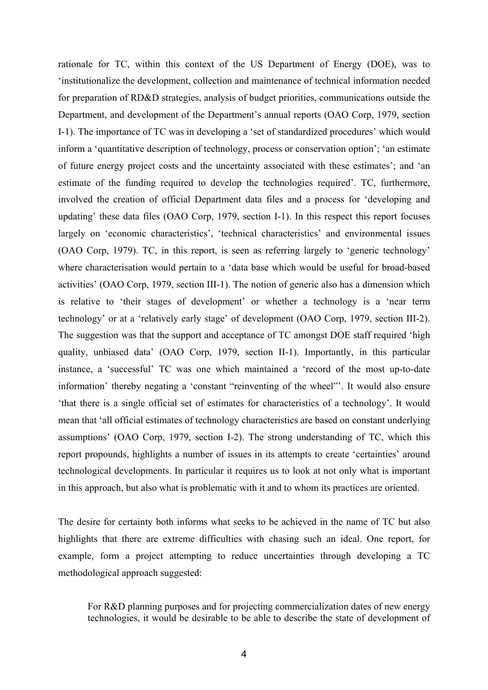rationale for TC, within this context of the US Department of Energy (DOE), was to 'institutionalize the development, collection and maintenance of technical information needed for preparation of RD&D strategies, analysis of budget priorities, communications outside the Department, and development of the Department's annual reports (OAO Corp, 1979, section I-1). The importance of TC was in developing a 'set of standardized procedures' which would inform a 'quantitative description of technology, process or conservation option'; 'an estimate of future energy project costs and the uncertainty associated with these estimates'; and 'an estimate of the funding required to develop the technologies required'. TC, furthermore, involved the creation of official Department data files and a process for 'developing and updating' these data files (OAO Corp, 1979, section I-1). In this respect this report focuses largely on 'economic characteristics', 'technical characteristics' and environmental issues (OAO Corp, 1979). TC, in this report, is seen as referring largely to 'generic technology' where characterisation would pertain to a 'data base which would be useful for broad-based activities' (OAO Corp, 1979, section III-1). The notion of generic also has a dimension which is relative to 'their stages of development' or whether a technology is a 'near term technology' or at a 'relatively early stage' of development (OAO Corp, 1979, section III-2). The suggestion was that the support and acceptance of TC amongst DOE staff required 'high quality, unbiased data' (OAO Corp, 1979, section II-1). Importantly, in this particular instance, a 'successful' TC was one which maintained a 'record of the most up-to-date information' thereby negating a 'constant "reinventing of the wheel"'. It would also ensure 'that there is a single official set of estimates for characteristics of a technology'. It would mean that 'all official estimates of technology characteristics are based on constant underlying assumptions' (OAO Corp, 1979, section I-2). The strong understanding of TC, which this report propounds, highlights a number of issues in its attempts to create 'certainties' around technological developments. In particular it requires us to look at not only what is important in this approach, but also what is problematic with it and to whom its practices are oriented.

The desire for certainty both informs what seeks to be achieved in the name of TC but also highlights that there are extreme difficulties with chasing such an ideal. One report, for example, form a project attempting to reduce uncertainties through developing a TC methodological approach suggested:

For R&D planning purposes and for projecting commercialization dates of new energy technologies, it would be desirable to be able to describe the state of development of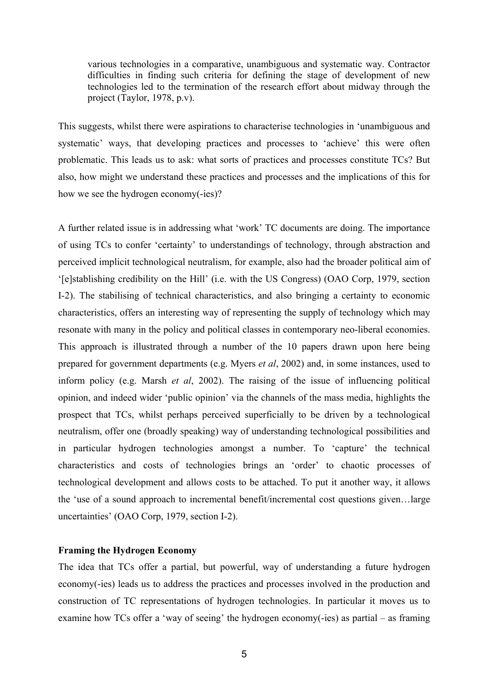various technologies in a comparative, unambiguous and systematic way. Contractor difficulties in finding such criteria for defining the stage of development of new technologies led to the termination of the research effort about midway through the project (Taylor, 1978, p.v).

This suggests, whilst there were aspirations to characterise technologies in 'unambiguous and systematic' ways, that developing practices and processes to 'achieve' this were often problematic. This leads us to ask: what sorts of practices and processes constitute TCs? But also, how might we understand these practices and processes and the implications of this for how we see the hydrogen economy(-ies)?

A further related issue is in addressing what 'work' TC documents are doing. The importance of using TCs to confer 'certainty' to understandings of technology, through abstraction and perceived implicit technological neutralism, for example, also had the broader political aim of '[e]stablishing credibility on the Hill' (i.e. with the US Congress) (OAO Corp, 1979, section I-2). The stabilising of technical characteristics, and also bringing a certainty to economic characteristics, offers an interesting way of representing the supply of technology which may resonate with many in the policy and political classes in contemporary neo-liberal economies. This approach is illustrated through a number of the 10 papers drawn upon here being prepared for government departments (e.g. Myers *et al*, 2002) and, in some instances, used to inform policy (e.g. Marsh *et al*, 2002). The raising of the issue of influencing political opinion, and indeed wider 'public opinion' via the channels of the mass media, highlights the prospect that TCs, whilst perhaps perceived superficially to be driven by a technological neutralism, offer one (broadly speaking) way of understanding technological possibilities and in particular hydrogen technologies amongst a number. To 'capture' the technical characteristics and costs of technologies brings an 'order' to chaotic processes of technological development and allows costs to be attached. To put it another way, it allows the 'use of a sound approach to incremental benefit/incremental cost questions given…large uncertainties' (OAO Corp, 1979, section I-2).

#### **Framing the Hydrogen Economy**

The idea that TCs offer a partial, but powerful, way of understanding a future hydrogen economy(-ies) leads us to address the practices and processes involved in the production and construction of TC representations of hydrogen technologies. In particular it moves us to examine how TCs offer a 'way of seeing' the hydrogen economy(-ies) as partial – as framing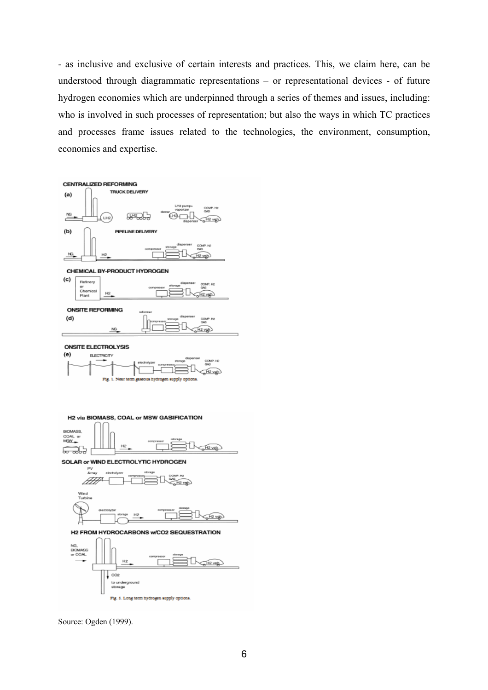- as inclusive and exclusive of certain interests and practices. This, we claim here, can be understood through diagrammatic representations – or representational devices - of future hydrogen economies which are underpinned through a series of themes and issues, including: who is involved in such processes of representation; but also the ways in which TC practices and processes frame issues related to the technologies, the environment, consumption, economics and expertise.



**ONSITE ELECTROLYSIS** 



H2 via BIOMASS, COAL or MSW GASIFICATION



SOLAR or WIND ELECTROLYTIC HYDROGEN



H2 FROM HYDROCARBONS w/CO2 SEQUESTRATION



Source: Ogden (1999).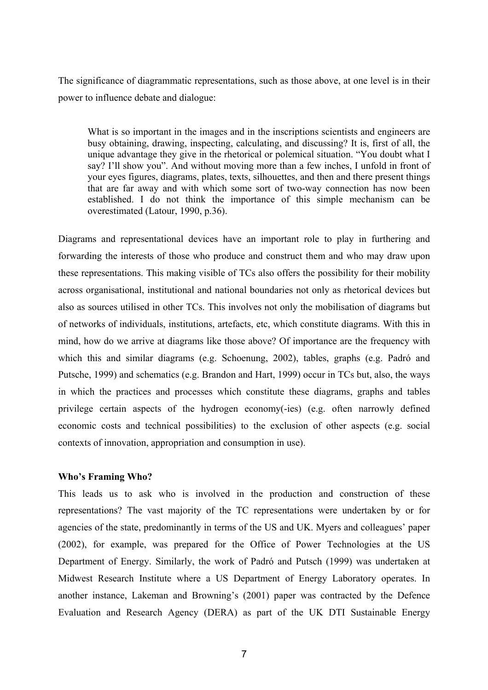The significance of diagrammatic representations, such as those above, at one level is in their power to influence debate and dialogue:

What is so important in the images and in the inscriptions scientists and engineers are busy obtaining, drawing, inspecting, calculating, and discussing? It is, first of all, the unique advantage they give in the rhetorical or polemical situation. "You doubt what I say? I'll show you". And without moving more than a few inches, I unfold in front of your eyes figures, diagrams, plates, texts, silhouettes, and then and there present things that are far away and with which some sort of two-way connection has now been established. I do not think the importance of this simple mechanism can be overestimated (Latour, 1990, p.36).

Diagrams and representational devices have an important role to play in furthering and forwarding the interests of those who produce and construct them and who may draw upon these representations. This making visible of TCs also offers the possibility for their mobility across organisational, institutional and national boundaries not only as rhetorical devices but also as sources utilised in other TCs. This involves not only the mobilisation of diagrams but of networks of individuals, institutions, artefacts, etc, which constitute diagrams. With this in mind, how do we arrive at diagrams like those above? Of importance are the frequency with which this and similar diagrams (e.g. Schoenung, 2002), tables, graphs (e.g. Padró and Putsche, 1999) and schematics (e.g. Brandon and Hart, 1999) occur in TCs but, also, the ways in which the practices and processes which constitute these diagrams, graphs and tables privilege certain aspects of the hydrogen economy(-ies) (e.g. often narrowly defined economic costs and technical possibilities) to the exclusion of other aspects (e.g. social contexts of innovation, appropriation and consumption in use).

# **Who's Framing Who?**

This leads us to ask who is involved in the production and construction of these representations? The vast majority of the TC representations were undertaken by or for agencies of the state, predominantly in terms of the US and UK. Myers and colleagues' paper (2002), for example, was prepared for the Office of Power Technologies at the US Department of Energy. Similarly, the work of Padró and Putsch (1999) was undertaken at Midwest Research Institute where a US Department of Energy Laboratory operates. In another instance, Lakeman and Browning's (2001) paper was contracted by the Defence Evaluation and Research Agency (DERA) as part of the UK DTI Sustainable Energy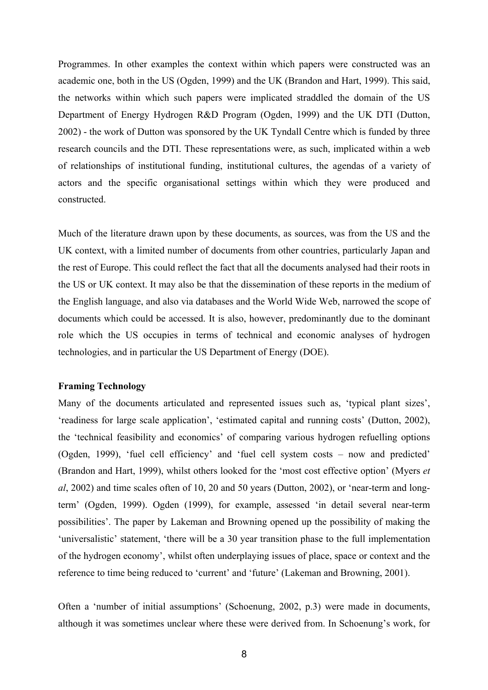Programmes. In other examples the context within which papers were constructed was an academic one, both in the US (Ogden, 1999) and the UK (Brandon and Hart, 1999). This said, the networks within which such papers were implicated straddled the domain of the US Department of Energy Hydrogen R&D Program (Ogden, 1999) and the UK DTI (Dutton, 2002) - the work of Dutton was sponsored by the UK Tyndall Centre which is funded by three research councils and the DTI. These representations were, as such, implicated within a web of relationships of institutional funding, institutional cultures, the agendas of a variety of actors and the specific organisational settings within which they were produced and constructed.

Much of the literature drawn upon by these documents, as sources, was from the US and the UK context, with a limited number of documents from other countries, particularly Japan and the rest of Europe. This could reflect the fact that all the documents analysed had their roots in the US or UK context. It may also be that the dissemination of these reports in the medium of the English language, and also via databases and the World Wide Web, narrowed the scope of documents which could be accessed. It is also, however, predominantly due to the dominant role which the US occupies in terms of technical and economic analyses of hydrogen technologies, and in particular the US Department of Energy (DOE).

## **Framing Technology**

Many of the documents articulated and represented issues such as, 'typical plant sizes', 'readiness for large scale application', 'estimated capital and running costs' (Dutton, 2002), the 'technical feasibility and economics' of comparing various hydrogen refuelling options (Ogden, 1999), 'fuel cell efficiency' and 'fuel cell system costs – now and predicted' (Brandon and Hart, 1999), whilst others looked for the 'most cost effective option' (Myers *et al*, 2002) and time scales often of 10, 20 and 50 years (Dutton, 2002), or 'near-term and longterm' (Ogden, 1999). Ogden (1999), for example, assessed 'in detail several near-term possibilities'. The paper by Lakeman and Browning opened up the possibility of making the 'universalistic' statement, 'there will be a 30 year transition phase to the full implementation of the hydrogen economy', whilst often underplaying issues of place, space or context and the reference to time being reduced to 'current' and 'future' (Lakeman and Browning, 2001).

Often a 'number of initial assumptions' (Schoenung, 2002, p.3) were made in documents, although it was sometimes unclear where these were derived from. In Schoenung's work, for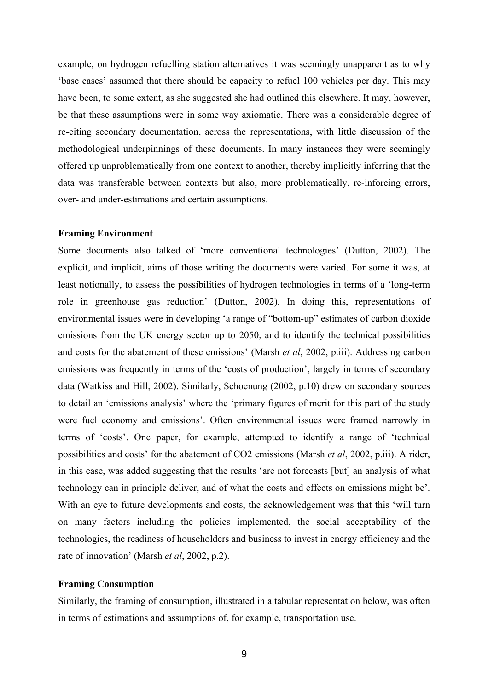example, on hydrogen refuelling station alternatives it was seemingly unapparent as to why 'base cases' assumed that there should be capacity to refuel 100 vehicles per day. This may have been, to some extent, as she suggested she had outlined this elsewhere. It may, however, be that these assumptions were in some way axiomatic. There was a considerable degree of re-citing secondary documentation, across the representations, with little discussion of the methodological underpinnings of these documents. In many instances they were seemingly offered up unproblematically from one context to another, thereby implicitly inferring that the data was transferable between contexts but also, more problematically, re-inforcing errors, over- and under-estimations and certain assumptions.

#### **Framing Environment**

Some documents also talked of 'more conventional technologies' (Dutton, 2002). The explicit, and implicit, aims of those writing the documents were varied. For some it was, at least notionally, to assess the possibilities of hydrogen technologies in terms of a 'long-term role in greenhouse gas reduction' (Dutton, 2002). In doing this, representations of environmental issues were in developing 'a range of "bottom-up" estimates of carbon dioxide emissions from the UK energy sector up to 2050, and to identify the technical possibilities and costs for the abatement of these emissions' (Marsh *et al*, 2002, p.iii). Addressing carbon emissions was frequently in terms of the 'costs of production', largely in terms of secondary data (Watkiss and Hill, 2002). Similarly, Schoenung (2002, p.10) drew on secondary sources to detail an 'emissions analysis' where the 'primary figures of merit for this part of the study were fuel economy and emissions'. Often environmental issues were framed narrowly in terms of 'costs'. One paper, for example, attempted to identify a range of 'technical possibilities and costs' for the abatement of CO2 emissions (Marsh *et al*, 2002, p.iii). A rider, in this case, was added suggesting that the results 'are not forecasts [but] an analysis of what technology can in principle deliver, and of what the costs and effects on emissions might be'. With an eye to future developments and costs, the acknowledgement was that this 'will turn on many factors including the policies implemented, the social acceptability of the technologies, the readiness of householders and business to invest in energy efficiency and the rate of innovation' (Marsh *et al*, 2002, p.2).

#### **Framing Consumption**

Similarly, the framing of consumption, illustrated in a tabular representation below, was often in terms of estimations and assumptions of, for example, transportation use.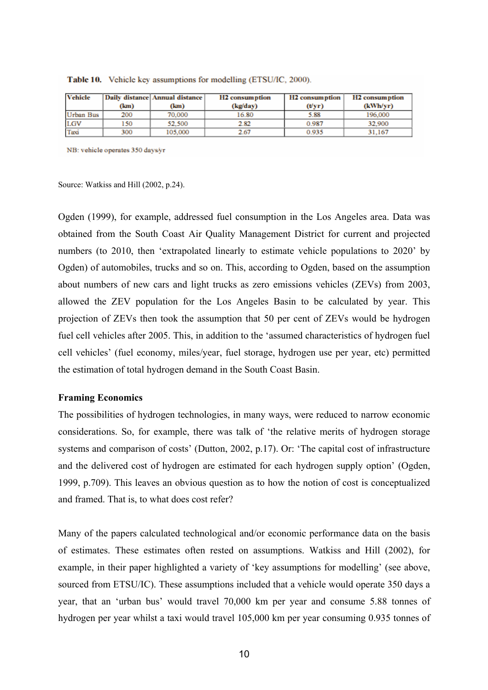| <b>Vehicle</b> |      | Daily distance Annual distance | H <sub>2</sub> consumption | H <sub>2</sub> consumption | H <sub>2</sub> consumption |
|----------------|------|--------------------------------|----------------------------|----------------------------|----------------------------|
|                | (km) | (km)                           | (kg/day)                   | (Vyr)                      | (kWh/yr)                   |
| Urban Bus      | 200  | 70,000                         | 16.80                      | 5.88                       | 196.000                    |
| LGV            | 150  | 52,500                         | 2.82                       | 0.987                      | 32,900                     |
| Taxi           | 300  | 105,000                        | 2.67                       | 0.935                      | 31.167                     |

Table 10. Vehicle key assumptions for modelling (ETSU/IC, 2000).

NB: vehicle operates 350 days/yr

Source: Watkiss and Hill (2002, p.24).

Ogden (1999), for example, addressed fuel consumption in the Los Angeles area. Data was obtained from the South Coast Air Quality Management District for current and projected numbers (to 2010, then 'extrapolated linearly to estimate vehicle populations to 2020' by Ogden) of automobiles, trucks and so on. This, according to Ogden, based on the assumption about numbers of new cars and light trucks as zero emissions vehicles (ZEVs) from 2003, allowed the ZEV population for the Los Angeles Basin to be calculated by year. This projection of ZEVs then took the assumption that 50 per cent of ZEVs would be hydrogen fuel cell vehicles after 2005. This, in addition to the 'assumed characteristics of hydrogen fuel cell vehicles' (fuel economy, miles/year, fuel storage, hydrogen use per year, etc) permitted the estimation of total hydrogen demand in the South Coast Basin.

#### **Framing Economics**

The possibilities of hydrogen technologies, in many ways, were reduced to narrow economic considerations. So, for example, there was talk of 'the relative merits of hydrogen storage systems and comparison of costs' (Dutton, 2002, p.17). Or: 'The capital cost of infrastructure and the delivered cost of hydrogen are estimated for each hydrogen supply option' (Ogden, 1999, p.709). This leaves an obvious question as to how the notion of cost is conceptualized and framed. That is, to what does cost refer?

Many of the papers calculated technological and/or economic performance data on the basis of estimates. These estimates often rested on assumptions. Watkiss and Hill (2002), for example, in their paper highlighted a variety of 'key assumptions for modelling' (see above, sourced from ETSU/IC). These assumptions included that a vehicle would operate 350 days a year, that an 'urban bus' would travel 70,000 km per year and consume 5.88 tonnes of hydrogen per year whilst a taxi would travel 105,000 km per year consuming 0.935 tonnes of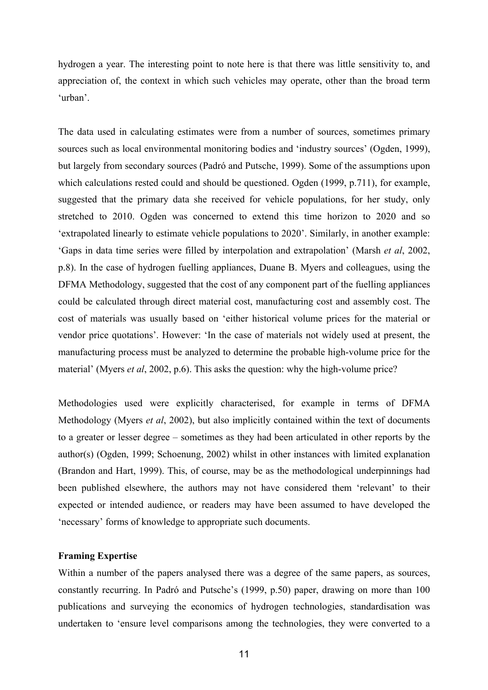hydrogen a year. The interesting point to note here is that there was little sensitivity to, and appreciation of, the context in which such vehicles may operate, other than the broad term 'urban'.

The data used in calculating estimates were from a number of sources, sometimes primary sources such as local environmental monitoring bodies and 'industry sources' (Ogden, 1999), but largely from secondary sources (Padró and Putsche, 1999). Some of the assumptions upon which calculations rested could and should be questioned. Ogden (1999, p.711), for example, suggested that the primary data she received for vehicle populations, for her study, only stretched to 2010. Ogden was concerned to extend this time horizon to 2020 and so 'extrapolated linearly to estimate vehicle populations to 2020'. Similarly, in another example: 'Gaps in data time series were filled by interpolation and extrapolation' (Marsh *et al*, 2002, p.8). In the case of hydrogen fuelling appliances, Duane B. Myers and colleagues, using the DFMA Methodology, suggested that the cost of any component part of the fuelling appliances could be calculated through direct material cost, manufacturing cost and assembly cost. The cost of materials was usually based on 'either historical volume prices for the material or vendor price quotations'. However: 'In the case of materials not widely used at present, the manufacturing process must be analyzed to determine the probable high-volume price for the material' (Myers *et al*, 2002, p.6). This asks the question: why the high-volume price?

Methodologies used were explicitly characterised, for example in terms of DFMA Methodology (Myers *et al*, 2002), but also implicitly contained within the text of documents to a greater or lesser degree – sometimes as they had been articulated in other reports by the author(s) (Ogden, 1999; Schoenung, 2002) whilst in other instances with limited explanation (Brandon and Hart, 1999). This, of course, may be as the methodological underpinnings had been published elsewhere, the authors may not have considered them 'relevant' to their expected or intended audience, or readers may have been assumed to have developed the 'necessary' forms of knowledge to appropriate such documents.

# **Framing Expertise**

Within a number of the papers analysed there was a degree of the same papers, as sources, constantly recurring. In Padró and Putsche's (1999, p.50) paper, drawing on more than 100 publications and surveying the economics of hydrogen technologies, standardisation was undertaken to 'ensure level comparisons among the technologies, they were converted to a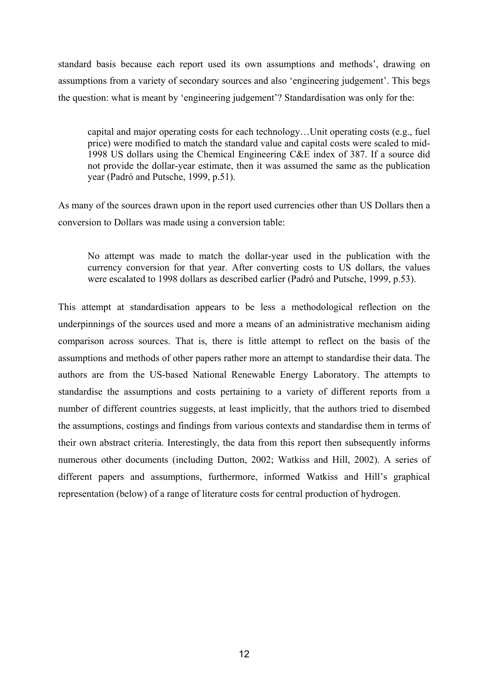standard basis because each report used its own assumptions and methods', drawing on assumptions from a variety of secondary sources and also 'engineering judgement'. This begs the question: what is meant by 'engineering judgement'? Standardisation was only for the:

capital and major operating costs for each technology…Unit operating costs (e.g., fuel price) were modified to match the standard value and capital costs were scaled to mid-1998 US dollars using the Chemical Engineering C&E index of 387. If a source did not provide the dollar-year estimate, then it was assumed the same as the publication year (Padró and Putsche, 1999, p.51).

As many of the sources drawn upon in the report used currencies other than US Dollars then a conversion to Dollars was made using a conversion table:

No attempt was made to match the dollar-year used in the publication with the currency conversion for that year. After converting costs to US dollars, the values were escalated to 1998 dollars as described earlier (Padró and Putsche, 1999, p.53).

This attempt at standardisation appears to be less a methodological reflection on the underpinnings of the sources used and more a means of an administrative mechanism aiding comparison across sources. That is, there is little attempt to reflect on the basis of the assumptions and methods of other papers rather more an attempt to standardise their data. The authors are from the US-based National Renewable Energy Laboratory. The attempts to standardise the assumptions and costs pertaining to a variety of different reports from a number of different countries suggests, at least implicitly, that the authors tried to disembed the assumptions, costings and findings from various contexts and standardise them in terms of their own abstract criteria. Interestingly, the data from this report then subsequently informs numerous other documents (including Dutton, 2002; Watkiss and Hill, 2002). A series of different papers and assumptions, furthermore, informed Watkiss and Hill's graphical representation (below) of a range of literature costs for central production of hydrogen.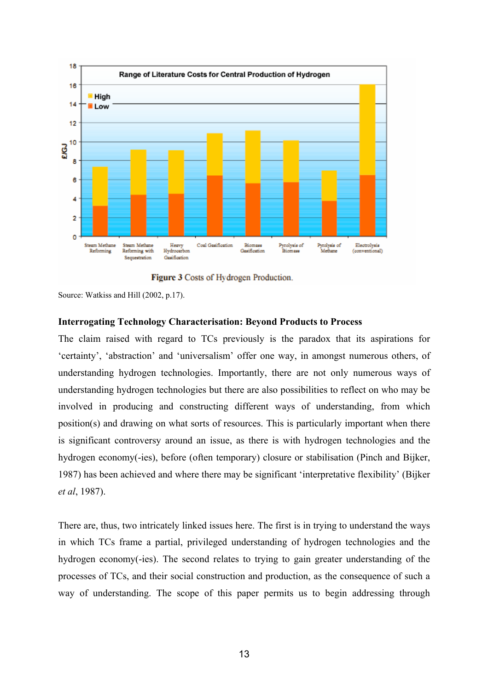

Figure 3 Costs of Hydrogen Production.

Source: Watkiss and Hill (2002, p.17).

#### **Interrogating Technology Characterisation: Beyond Products to Process**

The claim raised with regard to TCs previously is the paradox that its aspirations for 'certainty', 'abstraction' and 'universalism' offer one way, in amongst numerous others, of understanding hydrogen technologies. Importantly, there are not only numerous ways of understanding hydrogen technologies but there are also possibilities to reflect on who may be involved in producing and constructing different ways of understanding, from which position(s) and drawing on what sorts of resources. This is particularly important when there is significant controversy around an issue, as there is with hydrogen technologies and the hydrogen economy(-ies), before (often temporary) closure or stabilisation (Pinch and Bijker, 1987) has been achieved and where there may be significant 'interpretative flexibility' (Bijker *et al*, 1987).

There are, thus, two intricately linked issues here. The first is in trying to understand the ways in which TCs frame a partial, privileged understanding of hydrogen technologies and the hydrogen economy(-ies). The second relates to trying to gain greater understanding of the processes of TCs, and their social construction and production, as the consequence of such a way of understanding. The scope of this paper permits us to begin addressing through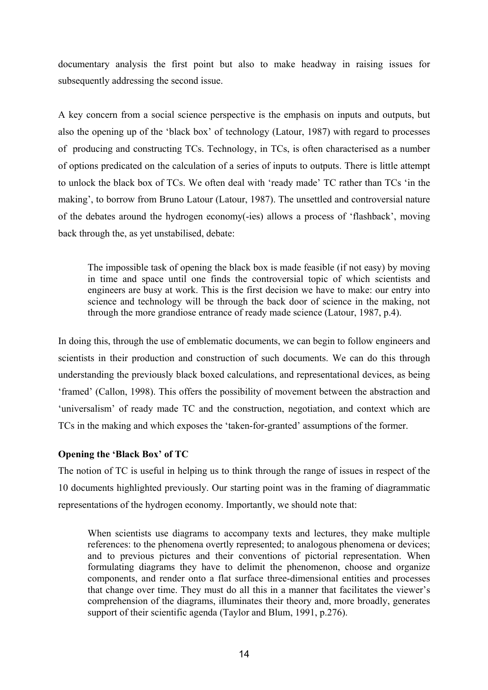documentary analysis the first point but also to make headway in raising issues for subsequently addressing the second issue.

A key concern from a social science perspective is the emphasis on inputs and outputs, but also the opening up of the 'black box' of technology (Latour, 1987) with regard to processes of producing and constructing TCs. Technology, in TCs, is often characterised as a number of options predicated on the calculation of a series of inputs to outputs. There is little attempt to unlock the black box of TCs. We often deal with 'ready made' TC rather than TCs 'in the making', to borrow from Bruno Latour (Latour, 1987). The unsettled and controversial nature of the debates around the hydrogen economy(-ies) allows a process of 'flashback', moving back through the, as yet unstabilised, debate:

The impossible task of opening the black box is made feasible (if not easy) by moving in time and space until one finds the controversial topic of which scientists and engineers are busy at work. This is the first decision we have to make: our entry into science and technology will be through the back door of science in the making, not through the more grandiose entrance of ready made science (Latour, 1987, p.4).

In doing this, through the use of emblematic documents, we can begin to follow engineers and scientists in their production and construction of such documents. We can do this through understanding the previously black boxed calculations, and representational devices, as being 'framed' (Callon, 1998). This offers the possibility of movement between the abstraction and 'universalism' of ready made TC and the construction, negotiation, and context which are TCs in the making and which exposes the 'taken-for-granted' assumptions of the former.

# **Opening the 'Black Box' of TC**

The notion of TC is useful in helping us to think through the range of issues in respect of the 10 documents highlighted previously. Our starting point was in the framing of diagrammatic representations of the hydrogen economy. Importantly, we should note that:

When scientists use diagrams to accompany texts and lectures, they make multiple references: to the phenomena overtly represented; to analogous phenomena or devices; and to previous pictures and their conventions of pictorial representation. When formulating diagrams they have to delimit the phenomenon, choose and organize components, and render onto a flat surface three-dimensional entities and processes that change over time. They must do all this in a manner that facilitates the viewer's comprehension of the diagrams, illuminates their theory and, more broadly, generates support of their scientific agenda (Taylor and Blum, 1991, p.276).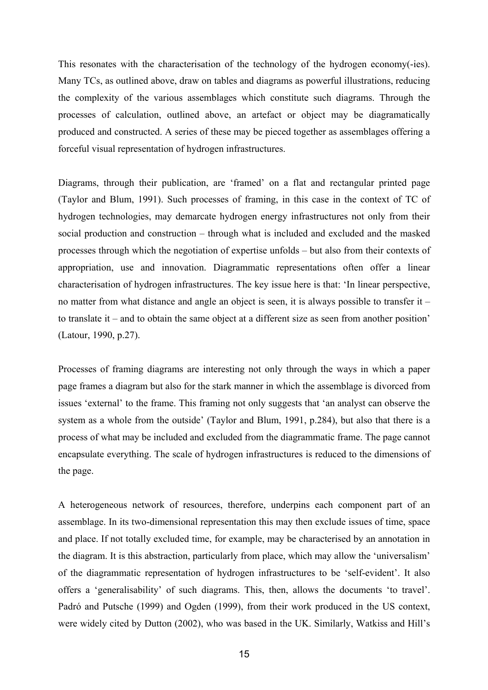This resonates with the characterisation of the technology of the hydrogen economy(-ies). Many TCs, as outlined above, draw on tables and diagrams as powerful illustrations, reducing the complexity of the various assemblages which constitute such diagrams. Through the processes of calculation, outlined above, an artefact or object may be diagramatically produced and constructed. A series of these may be pieced together as assemblages offering a forceful visual representation of hydrogen infrastructures.

Diagrams, through their publication, are 'framed' on a flat and rectangular printed page (Taylor and Blum, 1991). Such processes of framing, in this case in the context of TC of hydrogen technologies, may demarcate hydrogen energy infrastructures not only from their social production and construction – through what is included and excluded and the masked processes through which the negotiation of expertise unfolds – but also from their contexts of appropriation, use and innovation. Diagrammatic representations often offer a linear characterisation of hydrogen infrastructures. The key issue here is that: 'In linear perspective, no matter from what distance and angle an object is seen, it is always possible to transfer it – to translate it – and to obtain the same object at a different size as seen from another position' (Latour, 1990, p.27).

Processes of framing diagrams are interesting not only through the ways in which a paper page frames a diagram but also for the stark manner in which the assemblage is divorced from issues 'external' to the frame. This framing not only suggests that 'an analyst can observe the system as a whole from the outside' (Taylor and Blum, 1991, p.284), but also that there is a process of what may be included and excluded from the diagrammatic frame. The page cannot encapsulate everything. The scale of hydrogen infrastructures is reduced to the dimensions of the page.

A heterogeneous network of resources, therefore, underpins each component part of an assemblage. In its two-dimensional representation this may then exclude issues of time, space and place. If not totally excluded time, for example, may be characterised by an annotation in the diagram. It is this abstraction, particularly from place, which may allow the 'universalism' of the diagrammatic representation of hydrogen infrastructures to be 'self-evident'. It also offers a 'generalisability' of such diagrams. This, then, allows the documents 'to travel'. Padró and Putsche (1999) and Ogden (1999), from their work produced in the US context, were widely cited by Dutton (2002), who was based in the UK. Similarly, Watkiss and Hill's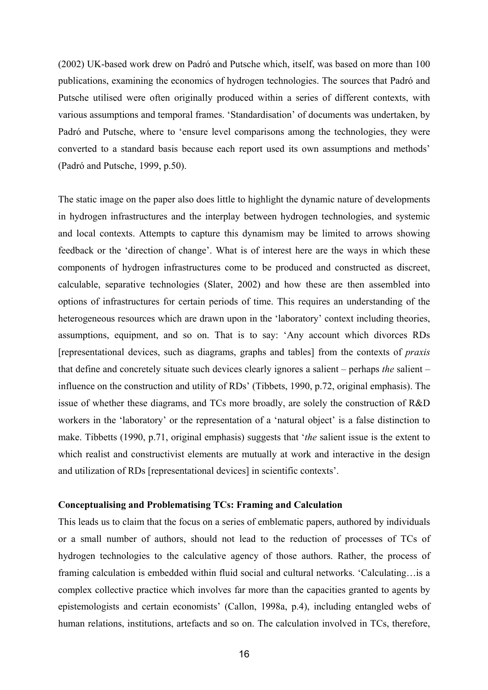(2002) UK-based work drew on Padró and Putsche which, itself, was based on more than 100 publications, examining the economics of hydrogen technologies. The sources that Padró and Putsche utilised were often originally produced within a series of different contexts, with various assumptions and temporal frames. 'Standardisation' of documents was undertaken, by Padró and Putsche, where to 'ensure level comparisons among the technologies, they were converted to a standard basis because each report used its own assumptions and methods' (Padró and Putsche, 1999, p.50).

The static image on the paper also does little to highlight the dynamic nature of developments in hydrogen infrastructures and the interplay between hydrogen technologies, and systemic and local contexts. Attempts to capture this dynamism may be limited to arrows showing feedback or the 'direction of change'. What is of interest here are the ways in which these components of hydrogen infrastructures come to be produced and constructed as discreet, calculable, separative technologies (Slater, 2002) and how these are then assembled into options of infrastructures for certain periods of time. This requires an understanding of the heterogeneous resources which are drawn upon in the 'laboratory' context including theories, assumptions, equipment, and so on. That is to say: 'Any account which divorces RDs [representational devices, such as diagrams, graphs and tables] from the contexts of *praxis* that define and concretely situate such devices clearly ignores a salient – perhaps *the* salient – influence on the construction and utility of RDs' (Tibbets, 1990, p.72, original emphasis). The issue of whether these diagrams, and TCs more broadly, are solely the construction of R&D workers in the 'laboratory' or the representation of a 'natural object' is a false distinction to make. Tibbetts (1990, p.71, original emphasis) suggests that '*the* salient issue is the extent to which realist and constructivist elements are mutually at work and interactive in the design and utilization of RDs [representational devices] in scientific contexts'.

## **Conceptualising and Problematising TCs: Framing and Calculation**

This leads us to claim that the focus on a series of emblematic papers, authored by individuals or a small number of authors, should not lead to the reduction of processes of TCs of hydrogen technologies to the calculative agency of those authors. Rather, the process of framing calculation is embedded within fluid social and cultural networks. 'Calculating…is a complex collective practice which involves far more than the capacities granted to agents by epistemologists and certain economists' (Callon, 1998a, p.4), including entangled webs of human relations, institutions, artefacts and so on. The calculation involved in TCs, therefore,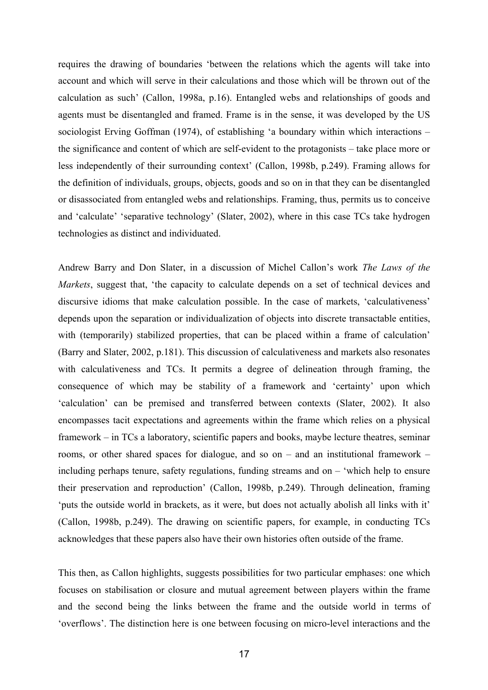requires the drawing of boundaries 'between the relations which the agents will take into account and which will serve in their calculations and those which will be thrown out of the calculation as such' (Callon, 1998a, p.16). Entangled webs and relationships of goods and agents must be disentangled and framed. Frame is in the sense, it was developed by the US sociologist Erving Goffman (1974), of establishing 'a boundary within which interactions – the significance and content of which are self-evident to the protagonists – take place more or less independently of their surrounding context' (Callon, 1998b, p.249). Framing allows for the definition of individuals, groups, objects, goods and so on in that they can be disentangled or disassociated from entangled webs and relationships. Framing, thus, permits us to conceive and 'calculate' 'separative technology' (Slater, 2002), where in this case TCs take hydrogen technologies as distinct and individuated.

Andrew Barry and Don Slater, in a discussion of Michel Callon's work *The Laws of the Markets*, suggest that, 'the capacity to calculate depends on a set of technical devices and discursive idioms that make calculation possible. In the case of markets, 'calculativeness' depends upon the separation or individualization of objects into discrete transactable entities, with (temporarily) stabilized properties, that can be placed within a frame of calculation' (Barry and Slater, 2002, p.181). This discussion of calculativeness and markets also resonates with calculativeness and TCs. It permits a degree of delineation through framing, the consequence of which may be stability of a framework and 'certainty' upon which 'calculation' can be premised and transferred between contexts (Slater, 2002). It also encompasses tacit expectations and agreements within the frame which relies on a physical framework – in TCs a laboratory, scientific papers and books, maybe lecture theatres, seminar rooms, or other shared spaces for dialogue, and so on – and an institutional framework – including perhaps tenure, safety regulations, funding streams and on – 'which help to ensure their preservation and reproduction' (Callon, 1998b, p.249). Through delineation, framing 'puts the outside world in brackets, as it were, but does not actually abolish all links with it' (Callon, 1998b, p.249). The drawing on scientific papers, for example, in conducting TCs acknowledges that these papers also have their own histories often outside of the frame.

This then, as Callon highlights, suggests possibilities for two particular emphases: one which focuses on stabilisation or closure and mutual agreement between players within the frame and the second being the links between the frame and the outside world in terms of 'overflows'. The distinction here is one between focusing on micro-level interactions and the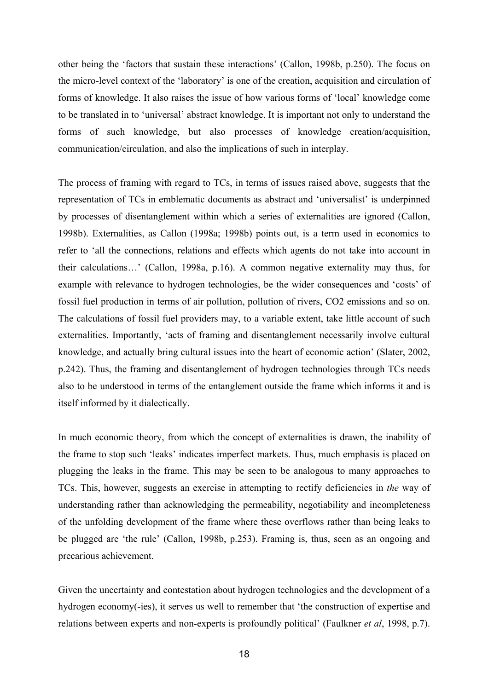other being the 'factors that sustain these interactions' (Callon, 1998b, p.250). The focus on the micro-level context of the 'laboratory' is one of the creation, acquisition and circulation of forms of knowledge. It also raises the issue of how various forms of 'local' knowledge come to be translated in to 'universal' abstract knowledge. It is important not only to understand the forms of such knowledge, but also processes of knowledge creation/acquisition, communication/circulation, and also the implications of such in interplay.

The process of framing with regard to TCs, in terms of issues raised above, suggests that the representation of TCs in emblematic documents as abstract and 'universalist' is underpinned by processes of disentanglement within which a series of externalities are ignored (Callon, 1998b). Externalities, as Callon (1998a; 1998b) points out, is a term used in economics to refer to 'all the connections, relations and effects which agents do not take into account in their calculations…' (Callon, 1998a, p.16). A common negative externality may thus, for example with relevance to hydrogen technologies, be the wider consequences and 'costs' of fossil fuel production in terms of air pollution, pollution of rivers, CO2 emissions and so on. The calculations of fossil fuel providers may, to a variable extent, take little account of such externalities. Importantly, 'acts of framing and disentanglement necessarily involve cultural knowledge, and actually bring cultural issues into the heart of economic action' (Slater, 2002, p.242). Thus, the framing and disentanglement of hydrogen technologies through TCs needs also to be understood in terms of the entanglement outside the frame which informs it and is itself informed by it dialectically.

In much economic theory, from which the concept of externalities is drawn, the inability of the frame to stop such 'leaks' indicates imperfect markets. Thus, much emphasis is placed on plugging the leaks in the frame. This may be seen to be analogous to many approaches to TCs. This, however, suggests an exercise in attempting to rectify deficiencies in *the* way of understanding rather than acknowledging the permeability, negotiability and incompleteness of the unfolding development of the frame where these overflows rather than being leaks to be plugged are 'the rule' (Callon, 1998b, p.253). Framing is, thus, seen as an ongoing and precarious achievement.

Given the uncertainty and contestation about hydrogen technologies and the development of a hydrogen economy(-ies), it serves us well to remember that 'the construction of expertise and relations between experts and non-experts is profoundly political' (Faulkner *et al*, 1998, p.7).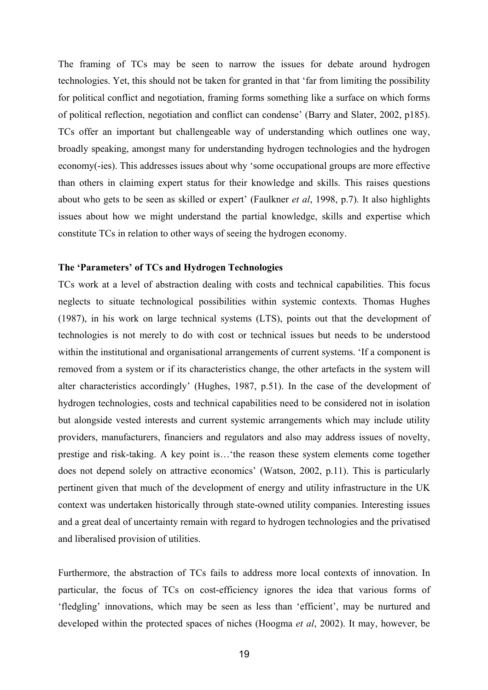The framing of TCs may be seen to narrow the issues for debate around hydrogen technologies. Yet, this should not be taken for granted in that 'far from limiting the possibility for political conflict and negotiation, framing forms something like a surface on which forms of political reflection, negotiation and conflict can condense' (Barry and Slater, 2002, p185). TCs offer an important but challengeable way of understanding which outlines one way, broadly speaking, amongst many for understanding hydrogen technologies and the hydrogen economy(-ies). This addresses issues about why 'some occupational groups are more effective than others in claiming expert status for their knowledge and skills. This raises questions about who gets to be seen as skilled or expert' (Faulkner *et al*, 1998, p.7). It also highlights issues about how we might understand the partial knowledge, skills and expertise which constitute TCs in relation to other ways of seeing the hydrogen economy.

# **The 'Parameters' of TCs and Hydrogen Technologies**

TCs work at a level of abstraction dealing with costs and technical capabilities. This focus neglects to situate technological possibilities within systemic contexts. Thomas Hughes (1987), in his work on large technical systems (LTS), points out that the development of technologies is not merely to do with cost or technical issues but needs to be understood within the institutional and organisational arrangements of current systems. 'If a component is removed from a system or if its characteristics change, the other artefacts in the system will alter characteristics accordingly' (Hughes, 1987, p.51). In the case of the development of hydrogen technologies, costs and technical capabilities need to be considered not in isolation but alongside vested interests and current systemic arrangements which may include utility providers, manufacturers, financiers and regulators and also may address issues of novelty, prestige and risk-taking. A key point is…'the reason these system elements come together does not depend solely on attractive economics' (Watson, 2002, p.11). This is particularly pertinent given that much of the development of energy and utility infrastructure in the UK context was undertaken historically through state-owned utility companies. Interesting issues and a great deal of uncertainty remain with regard to hydrogen technologies and the privatised and liberalised provision of utilities.

Furthermore, the abstraction of TCs fails to address more local contexts of innovation. In particular, the focus of TCs on cost-efficiency ignores the idea that various forms of 'fledgling' innovations, which may be seen as less than 'efficient', may be nurtured and developed within the protected spaces of niches (Hoogma *et al*, 2002). It may, however, be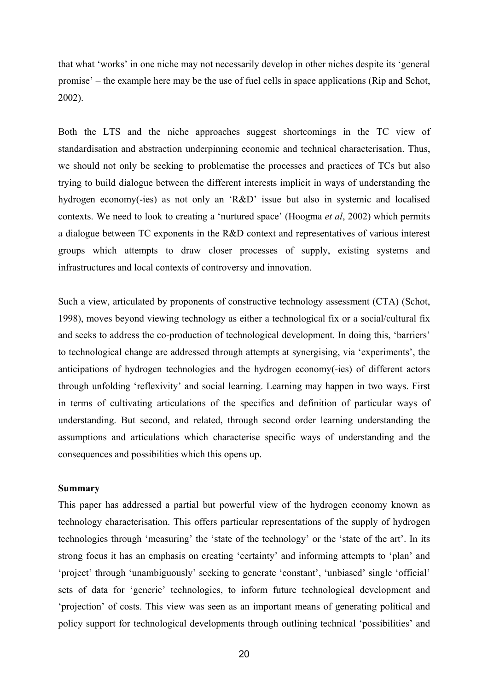that what 'works' in one niche may not necessarily develop in other niches despite its 'general promise' – the example here may be the use of fuel cells in space applications (Rip and Schot, 2002).

Both the LTS and the niche approaches suggest shortcomings in the TC view of standardisation and abstraction underpinning economic and technical characterisation. Thus, we should not only be seeking to problematise the processes and practices of TCs but also trying to build dialogue between the different interests implicit in ways of understanding the hydrogen economy(-ies) as not only an 'R&D' issue but also in systemic and localised contexts. We need to look to creating a 'nurtured space' (Hoogma *et al*, 2002) which permits a dialogue between TC exponents in the R&D context and representatives of various interest groups which attempts to draw closer processes of supply, existing systems and infrastructures and local contexts of controversy and innovation.

Such a view, articulated by proponents of constructive technology assessment (CTA) (Schot, 1998), moves beyond viewing technology as either a technological fix or a social/cultural fix and seeks to address the co-production of technological development. In doing this, 'barriers' to technological change are addressed through attempts at synergising, via 'experiments', the anticipations of hydrogen technologies and the hydrogen economy(-ies) of different actors through unfolding 'reflexivity' and social learning. Learning may happen in two ways. First in terms of cultivating articulations of the specifics and definition of particular ways of understanding. But second, and related, through second order learning understanding the assumptions and articulations which characterise specific ways of understanding and the consequences and possibilities which this opens up.

#### **Summary**

This paper has addressed a partial but powerful view of the hydrogen economy known as technology characterisation. This offers particular representations of the supply of hydrogen technologies through 'measuring' the 'state of the technology' or the 'state of the art'. In its strong focus it has an emphasis on creating 'certainty' and informing attempts to 'plan' and 'project' through 'unambiguously' seeking to generate 'constant', 'unbiased' single 'official' sets of data for 'generic' technologies, to inform future technological development and 'projection' of costs. This view was seen as an important means of generating political and policy support for technological developments through outlining technical 'possibilities' and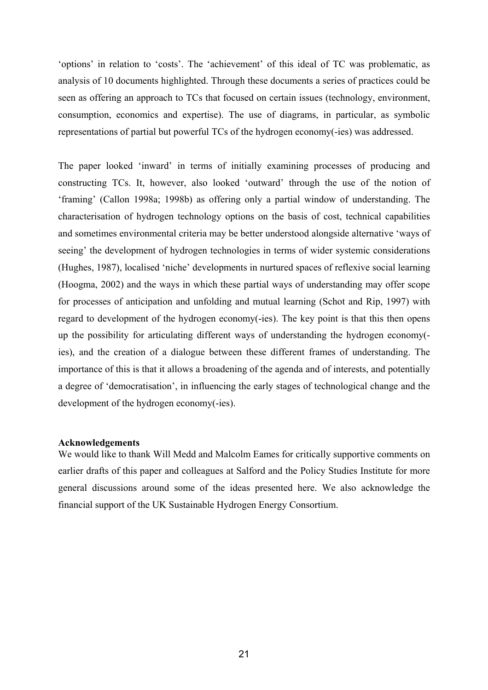'options' in relation to 'costs'. The 'achievement' of this ideal of TC was problematic, as analysis of 10 documents highlighted. Through these documents a series of practices could be seen as offering an approach to TCs that focused on certain issues (technology, environment, consumption, economics and expertise). The use of diagrams, in particular, as symbolic representations of partial but powerful TCs of the hydrogen economy(-ies) was addressed.

The paper looked 'inward' in terms of initially examining processes of producing and constructing TCs. It, however, also looked 'outward' through the use of the notion of 'framing' (Callon 1998a; 1998b) as offering only a partial window of understanding. The characterisation of hydrogen technology options on the basis of cost, technical capabilities and sometimes environmental criteria may be better understood alongside alternative 'ways of seeing' the development of hydrogen technologies in terms of wider systemic considerations (Hughes, 1987), localised 'niche' developments in nurtured spaces of reflexive social learning (Hoogma, 2002) and the ways in which these partial ways of understanding may offer scope for processes of anticipation and unfolding and mutual learning (Schot and Rip, 1997) with regard to development of the hydrogen economy(-ies). The key point is that this then opens up the possibility for articulating different ways of understanding the hydrogen economy( ies), and the creation of a dialogue between these different frames of understanding. The importance of this is that it allows a broadening of the agenda and of interests, and potentially a degree of 'democratisation', in influencing the early stages of technological change and the development of the hydrogen economy(-ies).

# **Acknowledgements**

We would like to thank Will Medd and Malcolm Eames for critically supportive comments on earlier drafts of this paper and colleagues at Salford and the Policy Studies Institute for more general discussions around some of the ideas presented here. We also acknowledge the financial support of the UK Sustainable Hydrogen Energy Consortium.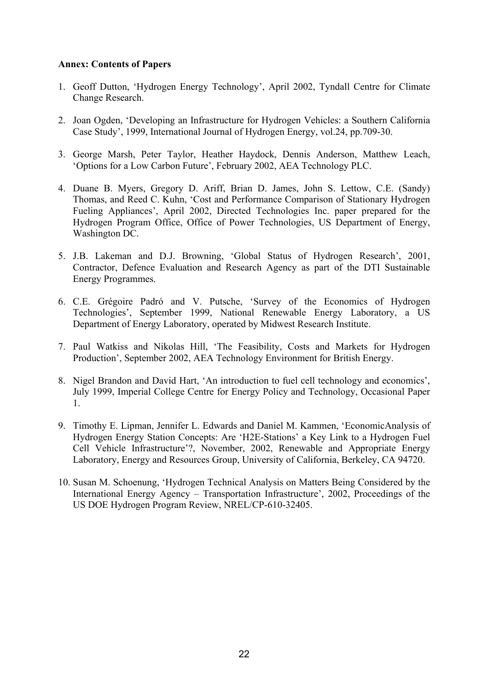# **Annex: Contents of Papers**

- 1. Geoff Dutton, 'Hydrogen Energy Technology', April 2002, Tyndall Centre for Climate Change Research.
- 2. Joan Ogden, 'Developing an Infrastructure for Hydrogen Vehicles: a Southern California Case Study', 1999, International Journal of Hydrogen Energy, vol.24, pp.709-30.
- 3. George Marsh, Peter Taylor, Heather Haydock, Dennis Anderson, Matthew Leach, 'Options for a Low Carbon Future', February 2002, AEA Technology PLC.
- 4. Duane B. Myers, Gregory D. Ariff, Brian D. James, John S. Lettow, C.E. (Sandy) Thomas, and Reed C. Kuhn, 'Cost and Performance Comparison of Stationary Hydrogen Fueling Appliances', April 2002, Directed Technologies Inc. paper prepared for the Hydrogen Program Office, Office of Power Technologies, US Department of Energy, Washington DC.
- 5. J.B. Lakeman and D.J. Browning, 'Global Status of Hydrogen Research', 2001, Contractor, Defence Evaluation and Research Agency as part of the DTI Sustainable Energy Programmes.
- 6. C.E. Grégoire Padró and V. Putsche, 'Survey of the Economics of Hydrogen Technologies', September 1999, National Renewable Energy Laboratory, a US Department of Energy Laboratory, operated by Midwest Research Institute.
- 7. Paul Watkiss and Nikolas Hill, 'The Feasibility, Costs and Markets for Hydrogen Production', September 2002, AEA Technology Environment for British Energy.
- 8. Nigel Brandon and David Hart, 'An introduction to fuel cell technology and economics', July 1999, Imperial College Centre for Energy Policy and Technology, Occasional Paper 1.
- 9. Timothy E. Lipman, Jennifer L. Edwards and Daniel M. Kammen, 'EconomicAnalysis of Hydrogen Energy Station Concepts: Are 'H2E-Stations' a Key Link to a Hydrogen Fuel Cell Vehicle Infrastructure'?, November, 2002, Renewable and Appropriate Energy Laboratory, Energy and Resources Group, University of California, Berkeley, CA 94720.
- 10. Susan M. Schoenung, 'Hydrogen Technical Analysis on Matters Being Considered by the International Energy Agency – Transportation Infrastructure', 2002, Proceedings of the US DOE Hydrogen Program Review, NREL/CP-610-32405.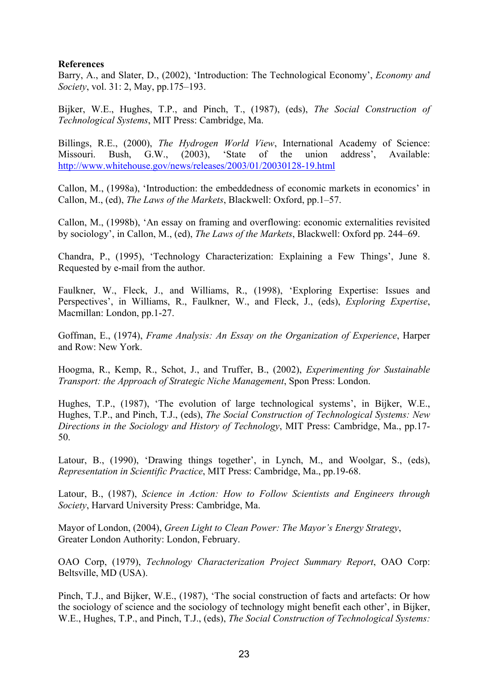# **References**

Barry, A., and Slater, D., (2002), 'Introduction: The Technological Economy', *Economy and Society*, vol. 31: 2, May, pp.175–193.

Bijker, W.E., Hughes, T.P., and Pinch, T., (1987), (eds), *The Social Construction of Technological Systems*, MIT Press: Cambridge, Ma.

Billings, R.E., (2000), *The Hydrogen World View*, International Academy of Science: Missouri. Bush, G.W., (2003), 'State of the union address', Available: http://www.whitehouse.gov/news/releases/2003/01/20030128-19.html

Callon, M., (1998a), 'Introduction: the embeddedness of economic markets in economics' in Callon, M., (ed), *The Laws of the Markets*, Blackwell: Oxford, pp.1–57.

Callon, M., (1998b), 'An essay on framing and overflowing: economic externalities revisited by sociology', in Callon, M., (ed), *The Laws of the Markets*, Blackwell: Oxford pp. 244–69.

Chandra, P., (1995), 'Technology Characterization: Explaining a Few Things', June 8. Requested by e-mail from the author.

Faulkner, W., Fleck, J., and Williams, R., (1998), 'Exploring Expertise: Issues and Perspectives', in Williams, R., Faulkner, W., and Fleck, J., (eds), *Exploring Expertise*, Macmillan: London, pp.1-27.

Goffman, E., (1974), *Frame Analysis: An Essay on the Organization of Experience*, Harper and Row: New York.

Hoogma, R., Kemp, R., Schot, J., and Truffer, B., (2002), *Experimenting for Sustainable Transport: the Approach of Strategic Niche Management*, Spon Press: London.

Hughes, T.P., (1987), 'The evolution of large technological systems', in Bijker, W.E., Hughes, T.P., and Pinch, T.J., (eds), *The Social Construction of Technological Systems: New Directions in the Sociology and History of Technology*, MIT Press: Cambridge, Ma., pp.17- 50.

Latour, B., (1990), 'Drawing things together', in Lynch, M., and Woolgar, S., (eds), *Representation in Scientific Practice*, MIT Press: Cambridge, Ma., pp.19-68.

Latour, B., (1987), *Science in Action: How to Follow Scientists and Engineers through Society*, Harvard University Press: Cambridge, Ma.

Mayor of London, (2004), *Green Light to Clean Power: The Mayor's Energy Strategy*, Greater London Authority: London, February.

OAO Corp, (1979), *Technology Characterization Project Summary Report*, OAO Corp: Beltsville, MD (USA).

Pinch, T.J., and Bijker, W.E., (1987), 'The social construction of facts and artefacts: Or how the sociology of science and the sociology of technology might benefit each other', in Bijker, W.E., Hughes, T.P., and Pinch, T.J., (eds), *The Social Construction of Technological Systems:*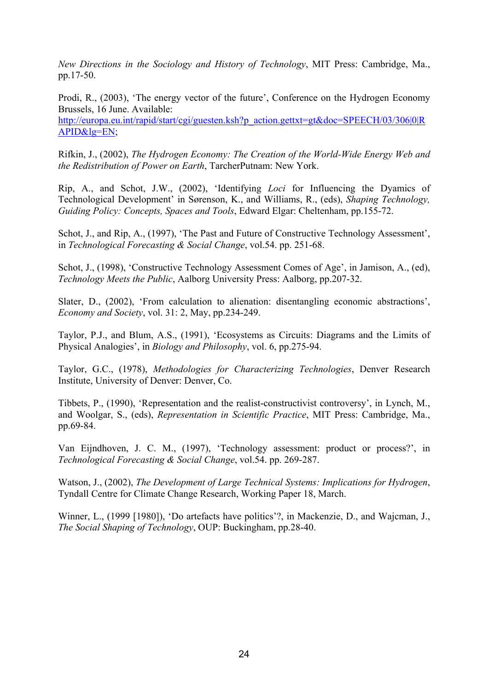*New Directions in the Sociology and History of Technology*, MIT Press: Cambridge, Ma., pp.17-50.

Prodi, R., (2003), 'The energy vector of the future', Conference on the Hydrogen Economy Brussels, 16 June. Available:

http://europa.eu.int/rapid/start/cgi/guesten.ksh?p\_action.gettxt=gt&doc=SPEECH/03/306|0|R APID&lg=EN;

Rifkin, J., (2002), *The Hydrogen Economy: The Creation of the World-Wide Energy Web and the Redistribution of Power on Earth*, TarcherPutnam: New York.

Rip, A., and Schot, J.W., (2002), 'Identifying *Loci* for Influencing the Dyamics of Technological Development' in Sørenson, K., and Williams, R., (eds), *Shaping Technology, Guiding Policy: Concepts, Spaces and Tools*, Edward Elgar: Cheltenham, pp.155-72.

Schot, J., and Rip, A., (1997), 'The Past and Future of Constructive Technology Assessment', in *Technological Forecasting & Social Change*, vol.54. pp. 251-68.

Schot, J., (1998), 'Constructive Technology Assessment Comes of Age', in Jamison, A., (ed), *Technology Meets the Public*, Aalborg University Press: Aalborg, pp.207-32.

Slater, D., (2002), 'From calculation to alienation: disentangling economic abstractions', *Economy and Society*, vol. 31: 2, May, pp.234-249.

Taylor, P.J., and Blum, A.S., (1991), 'Ecosystems as Circuits: Diagrams and the Limits of Physical Analogies', in *Biology and Philosophy*, vol. 6, pp.275-94.

Taylor, G.C., (1978), *Methodologies for Characterizing Technologies*, Denver Research Institute, University of Denver: Denver, Co.

Tibbets, P., (1990), 'Representation and the realist-constructivist controversy', in Lynch, M., and Woolgar, S., (eds), *Representation in Scientific Practice*, MIT Press: Cambridge, Ma., pp.69-84.

Van Eijndhoven, J. C. M., (1997), 'Technology assessment: product or process?', in *Technological Forecasting & Social Change*, vol.54. pp. 269-287.

Watson, J., (2002), *The Development of Large Technical Systems: Implications for Hydrogen*, Tyndall Centre for Climate Change Research, Working Paper 18, March.

Winner, L., (1999 [1980]), 'Do artefacts have politics'?, in Mackenzie, D., and Wajcman, J., *The Social Shaping of Technology*, OUP: Buckingham, pp.28-40.